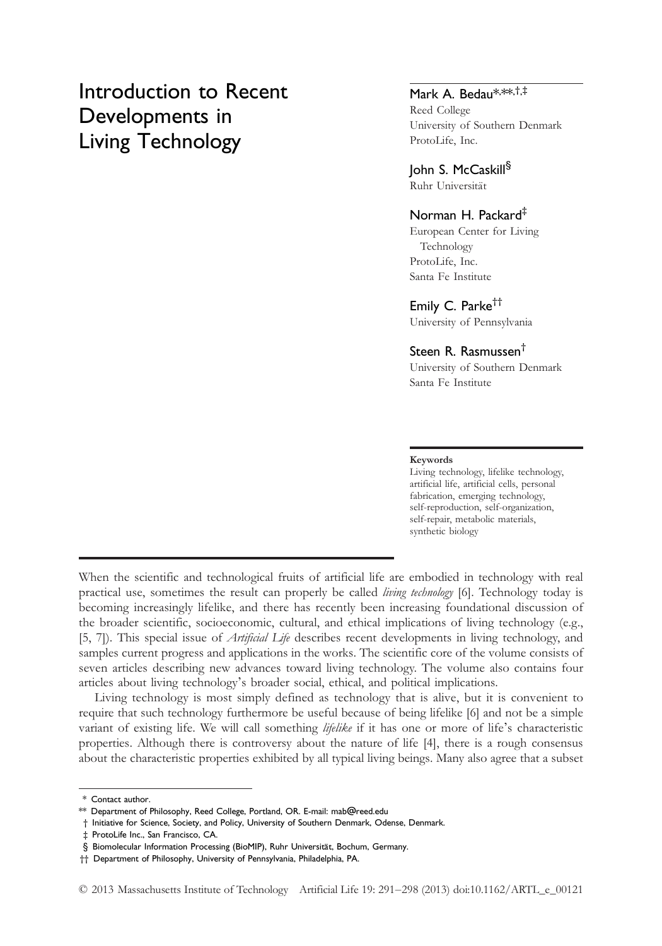# Introduction to Recent Developments in Living Technology

# Mark A. Bedau\*,\*\*,<sup>†</sup>,<sup>‡</sup>

Reed College University of Southern Denmark ProtoLife, Inc.

## John S. McCaskill§

Ruhr Universität

### Norman H. Packard‡

European Center for Living Technology ProtoLife, Inc. Santa Fe Institute

#### Emily C. Parke††

University of Pennsylvania

#### Steen R. Rasmussen†

University of Southern Denmark Santa Fe Institute

#### Keywords

Living technology, lifelike technology, artificial life, artificial cells, personal fabrication, emerging technology, self-reproduction, self-organization, self-repair, metabolic materials, synthetic biology

When the scientific and technological fruits of artificial life are embodied in technology with real practical use, sometimes the result can properly be called *living technology* [6]. Technology today is becoming increasingly lifelike, and there has recently been increasing foundational discussion of the broader scientific, socioeconomic, cultural, and ethical implications of living technology (e.g., [5, 7]). This special issue of *Artificial Life* describes recent developments in living technology, and samples current progress and applications in the works. The scientific core of the volume consists of seven articles describing new advances toward living technology. The volume also contains four articles about living technology's broader social, ethical, and political implications.

Living technology is most simply defined as technology that is alive, but it is convenient to require that such technology furthermore be useful because of being lifelike [6] and not be a simple variant of existing life. We will call something lifelike if it has one or more of life's characteristic properties. Although there is controversy about the nature of life [4], there is a rough consensus about the characteristic properties exhibited by all typical living beings. Many also agree that a subset

<sup>\*</sup> Contact author.

<sup>\*\*</sup> Department of Philosophy, Reed College, Portland, OR. E-mail: mab@reed.edu

<sup>†</sup> Initiative for Science, Society, and Policy, University of Southern Denmark, Odense, Denmark.

<sup>‡</sup> ProtoLife Inc., San Francisco, CA.

<sup>§</sup> Biomolecular Information Processing (BioMIP), Ruhr Universität, Bochum, Germany.

<sup>††</sup> Department of Philosophy, University of Pennsylvania, Philadelphia, PA.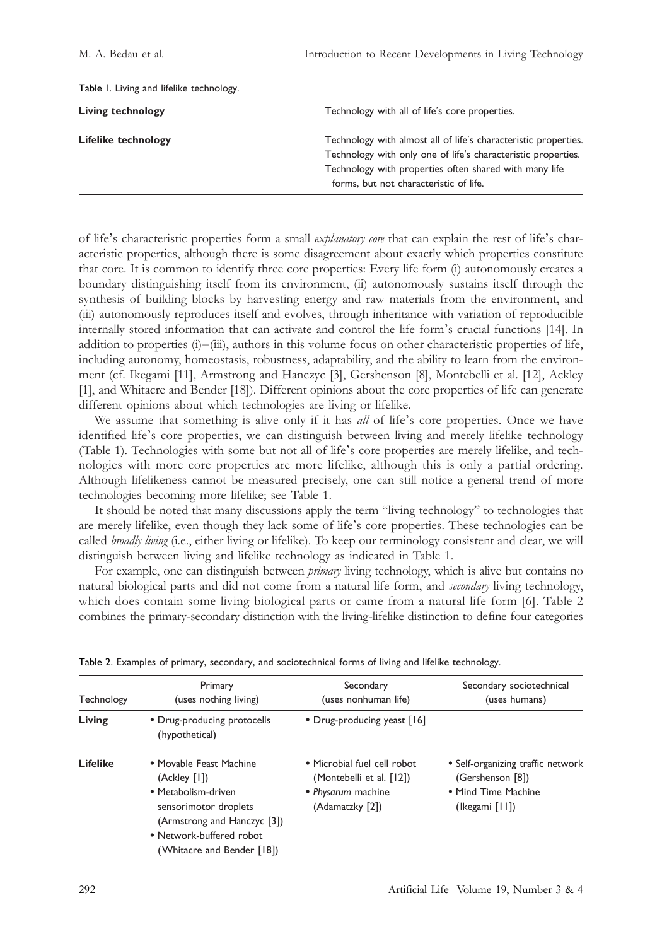Table 1. Living and lifelike technology.

| <b>Living technology</b> | Technology with all of life's core properties.                                                                                                                                                                                       |
|--------------------------|--------------------------------------------------------------------------------------------------------------------------------------------------------------------------------------------------------------------------------------|
| Lifelike technology      | Technology with almost all of life's characteristic properties.<br>Technology with only one of life's characteristic properties.<br>Technology with properties often shared with many life<br>forms, but not characteristic of life. |

of life's characteristic properties form a small explanatory core that can explain the rest of life's characteristic properties, although there is some disagreement about exactly which properties constitute that core. It is common to identify three core properties: Every life form (i) autonomously creates a boundary distinguishing itself from its environment, (ii) autonomously sustains itself through the synthesis of building blocks by harvesting energy and raw materials from the environment, and (iii) autonomously reproduces itself and evolves, through inheritance with variation of reproducible internally stored information that can activate and control the life form's crucial functions [14]. In addition to properties (i)–(iii), authors in this volume focus on other characteristic properties of life, including autonomy, homeostasis, robustness, adaptability, and the ability to learn from the environment (cf. Ikegami [11], Armstrong and Hanczyc [3], Gershenson [8], Montebelli et al. [12], Ackley [1], and Whitacre and Bender [18]). Different opinions about the core properties of life can generate different opinions about which technologies are living or lifelike.

We assume that something is alive only if it has all of life's core properties. Once we have identified life's core properties, we can distinguish between living and merely lifelike technology (Table 1). Technologies with some but not all of life's core properties are merely lifelike, and technologies with more core properties are more lifelike, although this is only a partial ordering. Although lifelikeness cannot be measured precisely, one can still notice a general trend of more technologies becoming more lifelike; see Table 1.

It should be noted that many discussions apply the term "living technology" to technologies that are merely lifelike, even though they lack some of life's core properties. These technologies can be called broadly living (i.e., either living or lifelike). To keep our terminology consistent and clear, we will distinguish between living and lifelike technology as indicated in Table 1.

For example, one can distinguish between *primary* living technology, which is alive but contains no natural biological parts and did not come from a natural life form, and secondary living technology, which does contain some living biological parts or came from a natural life form [6]. Table 2 combines the primary-secondary distinction with the living-lifelike distinction to define four categories

| Technology      | Primary<br>(uses nothing living)                                                                                                                                                 | Secondary<br>(uses nonhuman life)                                                                | Secondary sociotechnical<br>(uses humans)                                                         |  |
|-----------------|----------------------------------------------------------------------------------------------------------------------------------------------------------------------------------|--------------------------------------------------------------------------------------------------|---------------------------------------------------------------------------------------------------|--|
| Living          | • Drug-producing protocells<br>(hypothetical)                                                                                                                                    | • Drug-producing yeast [16]                                                                      |                                                                                                   |  |
| <b>Lifelike</b> | • Movable Feast Machine<br>(Ackley [1])<br>• Metabolism-driven<br>sensorimotor droplets<br>(Armstrong and Hanczyc [3])<br>• Network-buffered robot<br>(Whitacre and Bender [18]) | • Microbial fuel cell robot<br>(Montebelli et al. [12])<br>• Physarum machine<br>(Adamatzky [2]) | • Self-organizing traffic network<br>(Gershenson [8])<br>• Mind Time Machine<br>(Ikegami $[11]$ ) |  |

Table 2. Examples of primary, secondary, and sociotechnical forms of living and lifelike technology.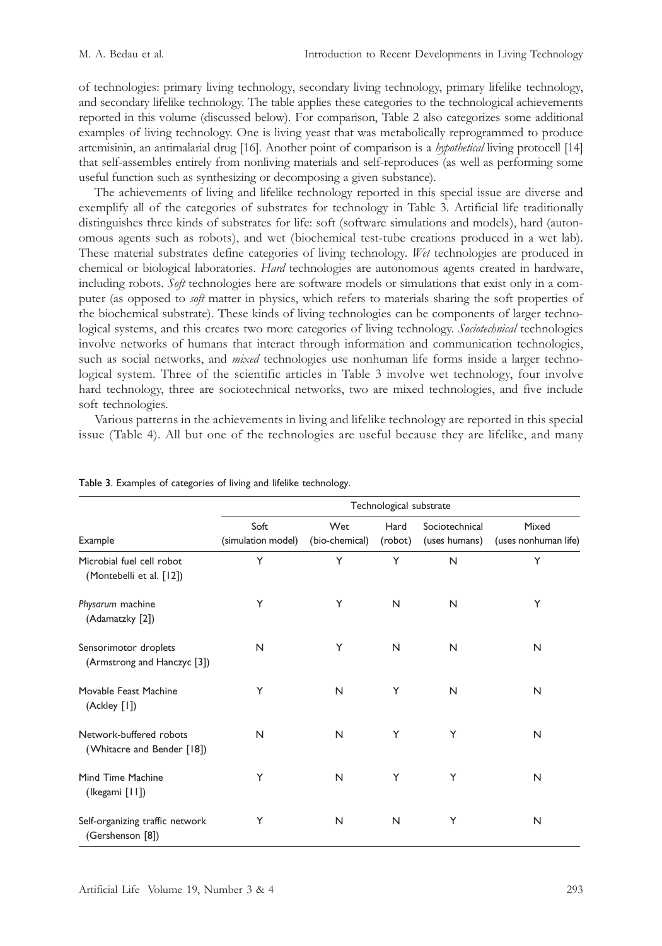of technologies: primary living technology, secondary living technology, primary lifelike technology, and secondary lifelike technology. The table applies these categories to the technological achievements reported in this volume (discussed below). For comparison, Table 2 also categorizes some additional examples of living technology. One is living yeast that was metabolically reprogrammed to produce artemisinin, an antimalarial drug [16]. Another point of comparison is a hypothetical living protocell [14] that self-assembles entirely from nonliving materials and self-reproduces (as well as performing some useful function such as synthesizing or decomposing a given substance).

The achievements of living and lifelike technology reported in this special issue are diverse and exemplify all of the categories of substrates for technology in Table 3. Artificial life traditionally distinguishes three kinds of substrates for life: soft (software simulations and models), hard (autonomous agents such as robots), and wet (biochemical test-tube creations produced in a wet lab). These material substrates define categories of living technology. Wet technologies are produced in chemical or biological laboratories. Hard technologies are autonomous agents created in hardware, including robots.  $\delta$ oft technologies here are software models or simulations that exist only in a computer (as opposed to soft matter in physics, which refers to materials sharing the soft properties of the biochemical substrate). These kinds of living technologies can be components of larger technological systems, and this creates two more categories of living technology. Sociotechnical technologies involve networks of humans that interact through information and communication technologies, such as social networks, and *mixed* technologies use nonhuman life forms inside a larger technological system. Three of the scientific articles in Table 3 involve wet technology, four involve hard technology, three are sociotechnical networks, two are mixed technologies, and five include soft technologies.

Various patterns in the achievements in living and lifelike technology are reported in this special issue (Table 4). All but one of the technologies are useful because they are lifelike, and many

|                                                       | Technological substrate    |                       |                 |                                 |                               |  |
|-------------------------------------------------------|----------------------------|-----------------------|-----------------|---------------------------------|-------------------------------|--|
| Example                                               | Soft<br>(simulation model) | Wet<br>(bio-chemical) | Hard<br>(robot) | Sociotechnical<br>(uses humans) | Mixed<br>(uses nonhuman life) |  |
| Microbial fuel cell robot<br>(Montebelli et al. [12]) | Y                          | Y                     | Y               | $\mathsf{N}$                    | Y                             |  |
| Physarum machine<br>(Adamatzky [2])                   | Υ                          | Y                     | N               | N                               | Υ                             |  |
| Sensorimotor droplets<br>(Armstrong and Hanczyc [3])  | N                          | Y                     | N               | N                               | N                             |  |
| Movable Feast Machine<br>(Ackley [1])                 | Y                          | N                     | Y               | N                               | N                             |  |
| Network-buffered robots<br>(Whitacre and Bender [18]) | N                          | N                     | Y               | Y                               | N                             |  |
| Mind Time Machine<br>(Ikegami [11])                   | Υ                          | N                     | Y               | Y                               | N                             |  |
| Self-organizing traffic network<br>(Gershenson [8])   | Y                          | N                     | N               | Y                               | N                             |  |

Table 3. Examples of categories of living and lifelike technology.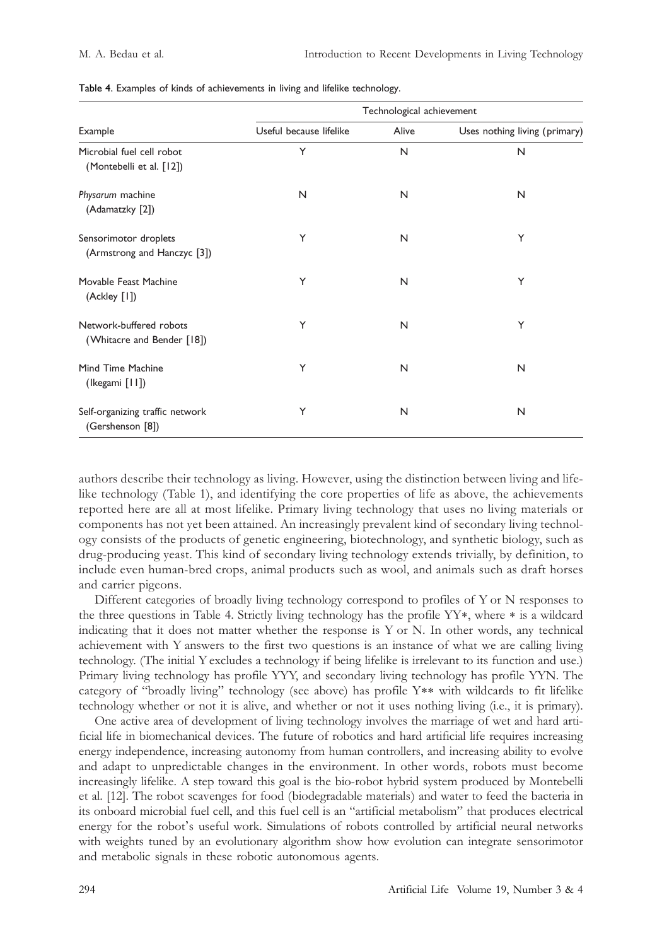|                                                       | Technological achievement |       |                               |  |  |
|-------------------------------------------------------|---------------------------|-------|-------------------------------|--|--|
| Example                                               | Useful because lifelike   | Alive | Uses nothing living (primary) |  |  |
| Microbial fuel cell robot<br>(Montebelli et al. [12]) | Y                         | N     | N                             |  |  |
| Physarum machine<br>(Adamatzky [2])                   | N                         | N     | N                             |  |  |
| Sensorimotor droplets<br>(Armstrong and Hanczyc [3])  | Y                         | N     | Y                             |  |  |
| Movable Feast Machine<br>(Ackley [1])                 | Y                         | N     | Y                             |  |  |
| Network-buffered robots<br>(Whitacre and Bender [18]) | Y                         | N     | Y                             |  |  |
| Mind Time Machine<br>(Ikegami $[11]$ )                | Y                         | N     | N                             |  |  |
| Self-organizing traffic network<br>(Gershenson [8])   | Υ                         | N     | N                             |  |  |

Table 4. Examples of kinds of achievements in living and lifelike technology.

authors describe their technology as living. However, using the distinction between living and lifelike technology (Table 1), and identifying the core properties of life as above, the achievements reported here are all at most lifelike. Primary living technology that uses no living materials or components has not yet been attained. An increasingly prevalent kind of secondary living technology consists of the products of genetic engineering, biotechnology, and synthetic biology, such as drug-producing yeast. This kind of secondary living technology extends trivially, by definition, to include even human-bred crops, animal products such as wool, and animals such as draft horses and carrier pigeons.

Different categories of broadly living technology correspond to profiles of Y or N responses to the three questions in Table 4. Strictly living technology has the profile YY∗, where ∗ is a wildcard indicating that it does not matter whether the response is Y or N. In other words, any technical achievement with Y answers to the first two questions is an instance of what we are calling living technology. (The initial Y excludes a technology if being lifelike is irrelevant to its function and use.) Primary living technology has profile YYY, and secondary living technology has profile YYN. The category of "broadly living" technology (see above) has profile Y∗∗ with wildcards to fit lifelike technology whether or not it is alive, and whether or not it uses nothing living (i.e., it is primary).

One active area of development of living technology involves the marriage of wet and hard artificial life in biomechanical devices. The future of robotics and hard artificial life requires increasing energy independence, increasing autonomy from human controllers, and increasing ability to evolve and adapt to unpredictable changes in the environment. In other words, robots must become increasingly lifelike. A step toward this goal is the bio-robot hybrid system produced by Montebelli et al. [12]. The robot scavenges for food (biodegradable materials) and water to feed the bacteria in its onboard microbial fuel cell, and this fuel cell is an "artificial metabolism" that produces electrical energy for the robot's useful work. Simulations of robots controlled by artificial neural networks with weights tuned by an evolutionary algorithm show how evolution can integrate sensorimotor and metabolic signals in these robotic autonomous agents.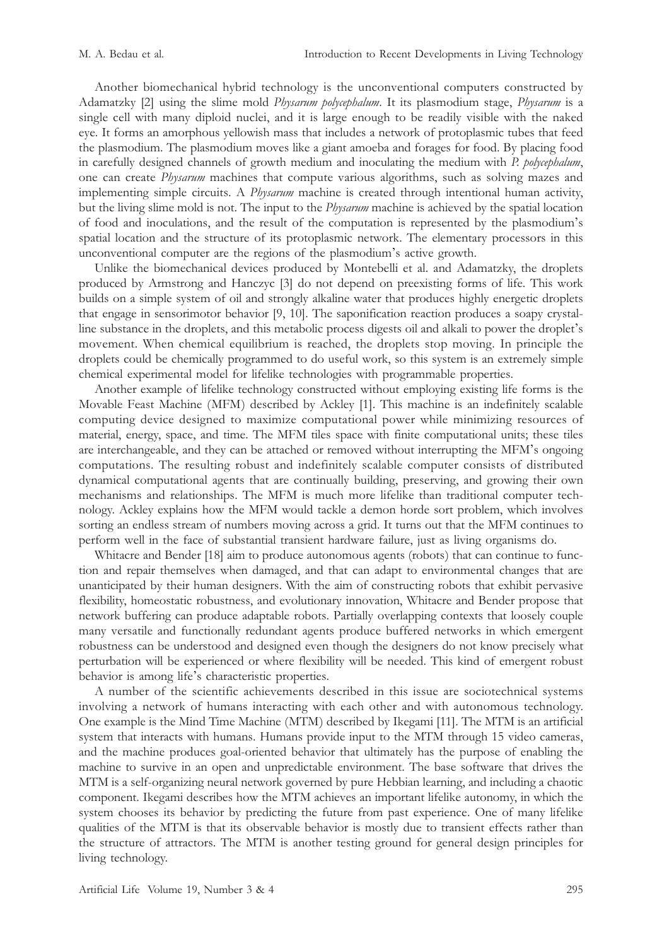Another biomechanical hybrid technology is the unconventional computers constructed by Adamatzky [2] using the slime mold *Physarum polycephalum*. It its plasmodium stage, *Physarum* is a single cell with many diploid nuclei, and it is large enough to be readily visible with the naked eye. It forms an amorphous yellowish mass that includes a network of protoplasmic tubes that feed the plasmodium. The plasmodium moves like a giant amoeba and forages for food. By placing food in carefully designed channels of growth medium and inoculating the medium with P. polycephalum, one can create Physarum machines that compute various algorithms, such as solving mazes and implementing simple circuits. A Physarum machine is created through intentional human activity, but the living slime mold is not. The input to the *Physarum* machine is achieved by the spatial location of food and inoculations, and the result of the computation is represented by the plasmodium's spatial location and the structure of its protoplasmic network. The elementary processors in this unconventional computer are the regions of the plasmodium's active growth.

Unlike the biomechanical devices produced by Montebelli et al. and Adamatzky, the droplets produced by Armstrong and Hanczyc [3] do not depend on preexisting forms of life. This work builds on a simple system of oil and strongly alkaline water that produces highly energetic droplets that engage in sensorimotor behavior [9, 10]. The saponification reaction produces a soapy crystalline substance in the droplets, and this metabolic process digests oil and alkali to power the droplet's movement. When chemical equilibrium is reached, the droplets stop moving. In principle the droplets could be chemically programmed to do useful work, so this system is an extremely simple chemical experimental model for lifelike technologies with programmable properties.

Another example of lifelike technology constructed without employing existing life forms is the Movable Feast Machine (MFM) described by Ackley [1]. This machine is an indefinitely scalable computing device designed to maximize computational power while minimizing resources of material, energy, space, and time. The MFM tiles space with finite computational units; these tiles are interchangeable, and they can be attached or removed without interrupting the MFM's ongoing computations. The resulting robust and indefinitely scalable computer consists of distributed dynamical computational agents that are continually building, preserving, and growing their own mechanisms and relationships. The MFM is much more lifelike than traditional computer technology. Ackley explains how the MFM would tackle a demon horde sort problem, which involves sorting an endless stream of numbers moving across a grid. It turns out that the MFM continues to perform well in the face of substantial transient hardware failure, just as living organisms do.

Whitacre and Bender [18] aim to produce autonomous agents (robots) that can continue to function and repair themselves when damaged, and that can adapt to environmental changes that are unanticipated by their human designers. With the aim of constructing robots that exhibit pervasive flexibility, homeostatic robustness, and evolutionary innovation, Whitacre and Bender propose that network buffering can produce adaptable robots. Partially overlapping contexts that loosely couple many versatile and functionally redundant agents produce buffered networks in which emergent robustness can be understood and designed even though the designers do not know precisely what perturbation will be experienced or where flexibility will be needed. This kind of emergent robust behavior is among life's characteristic properties.

A number of the scientific achievements described in this issue are sociotechnical systems involving a network of humans interacting with each other and with autonomous technology. One example is the Mind Time Machine (MTM) described by Ikegami [11]. The MTM is an artificial system that interacts with humans. Humans provide input to the MTM through 15 video cameras, and the machine produces goal-oriented behavior that ultimately has the purpose of enabling the machine to survive in an open and unpredictable environment. The base software that drives the MTM is a self-organizing neural network governed by pure Hebbian learning, and including a chaotic component. Ikegami describes how the MTM achieves an important lifelike autonomy, in which the system chooses its behavior by predicting the future from past experience. One of many lifelike qualities of the MTM is that its observable behavior is mostly due to transient effects rather than the structure of attractors. The MTM is another testing ground for general design principles for living technology.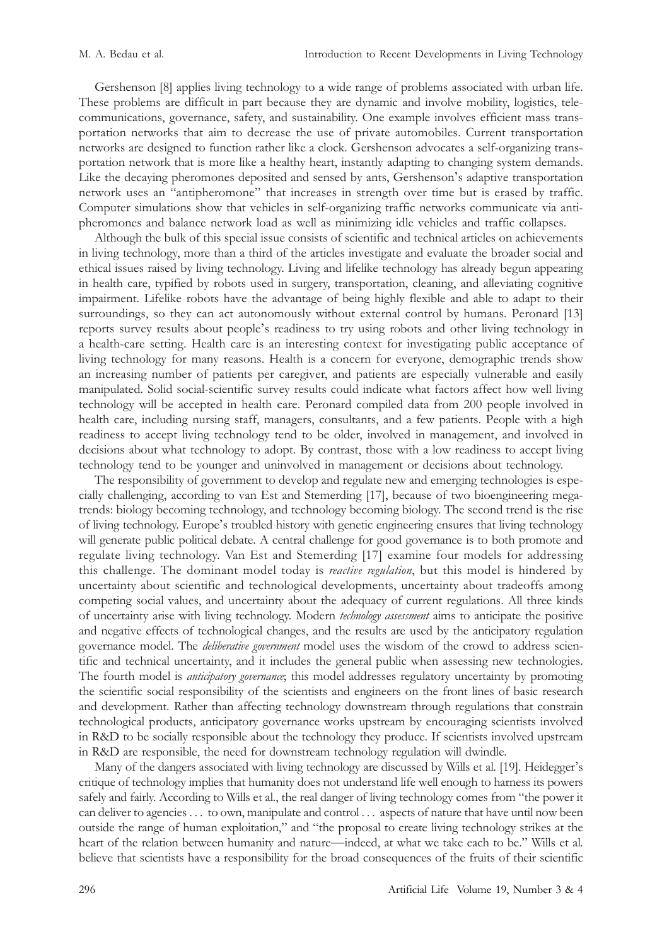Gershenson [8] applies living technology to a wide range of problems associated with urban life. These problems are difficult in part because they are dynamic and involve mobility, logistics, telecommunications, governance, safety, and sustainability. One example involves efficient mass transportation networks that aim to decrease the use of private automobiles. Current transportation networks are designed to function rather like a clock. Gershenson advocates a self-organizing transportation network that is more like a healthy heart, instantly adapting to changing system demands. Like the decaying pheromones deposited and sensed by ants, Gershenson's adaptive transportation network uses an "antipheromone" that increases in strength over time but is erased by traffic. Computer simulations show that vehicles in self-organizing traffic networks communicate via antipheromones and balance network load as well as minimizing idle vehicles and traffic collapses.

Although the bulk of this special issue consists of scientific and technical articles on achievements in living technology, more than a third of the articles investigate and evaluate the broader social and ethical issues raised by living technology. Living and lifelike technology has already begun appearing in health care, typified by robots used in surgery, transportation, cleaning, and alleviating cognitive impairment. Lifelike robots have the advantage of being highly flexible and able to adapt to their surroundings, so they can act autonomously without external control by humans. Peronard [13] reports survey results about people's readiness to try using robots and other living technology in a health-care setting. Health care is an interesting context for investigating public acceptance of living technology for many reasons. Health is a concern for everyone, demographic trends show an increasing number of patients per caregiver, and patients are especially vulnerable and easily manipulated. Solid social-scientific survey results could indicate what factors affect how well living technology will be accepted in health care. Peronard compiled data from 200 people involved in health care, including nursing staff, managers, consultants, and a few patients. People with a high readiness to accept living technology tend to be older, involved in management, and involved in decisions about what technology to adopt. By contrast, those with a low readiness to accept living technology tend to be younger and uninvolved in management or decisions about technology.

The responsibility of government to develop and regulate new and emerging technologies is especially challenging, according to van Est and Stemerding [17], because of two bioengineering megatrends: biology becoming technology, and technology becoming biology. The second trend is the rise of living technology. Europe's troubled history with genetic engineering ensures that living technology will generate public political debate. A central challenge for good governance is to both promote and regulate living technology. Van Est and Stemerding [17] examine four models for addressing this challenge. The dominant model today is *reactive regulation*, but this model is hindered by uncertainty about scientific and technological developments, uncertainty about tradeoffs among competing social values, and uncertainty about the adequacy of current regulations. All three kinds of uncertainty arise with living technology. Modern technology assessment aims to anticipate the positive and negative effects of technological changes, and the results are used by the anticipatory regulation governance model. The *deliberative government* model uses the wisdom of the crowd to address scientific and technical uncertainty, and it includes the general public when assessing new technologies. The fourth model is *anticipatory governance*; this model addresses regulatory uncertainty by promoting the scientific social responsibility of the scientists and engineers on the front lines of basic research and development. Rather than affecting technology downstream through regulations that constrain technological products, anticipatory governance works upstream by encouraging scientists involved in R&D to be socially responsible about the technology they produce. If scientists involved upstream in R&D are responsible, the need for downstream technology regulation will dwindle.

Many of the dangers associated with living technology are discussed by Wills et al. [19]. Heidegger's critique of technology implies that humanity does not understand life well enough to harness its powers safely and fairly. According to Wills et al., the real danger of living technology comes from "the power it can deliver to agencies . . . to own, manipulate and control . . . aspects of nature that have until now been outside the range of human exploitation," and "the proposal to create living technology strikes at the heart of the relation between humanity and nature—indeed, at what we take each to be." Wills et al. believe that scientists have a responsibility for the broad consequences of the fruits of their scientific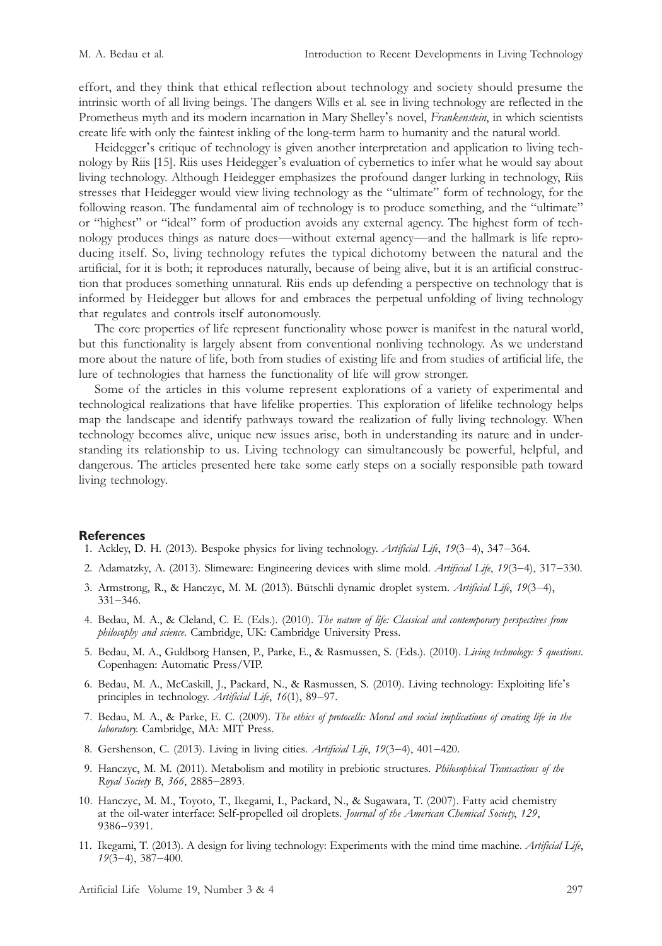effort, and they think that ethical reflection about technology and society should presume the intrinsic worth of all living beings. The dangers Wills et al. see in living technology are reflected in the Prometheus myth and its modern incarnation in Mary Shelley's novel, Frankenstein, in which scientists create life with only the faintest inkling of the long-term harm to humanity and the natural world.

Heidegger's critique of technology is given another interpretation and application to living technology by Riis [15]. Riis uses Heidegger's evaluation of cybernetics to infer what he would say about living technology. Although Heidegger emphasizes the profound danger lurking in technology, Riis stresses that Heidegger would view living technology as the "ultimate" form of technology, for the following reason. The fundamental aim of technology is to produce something, and the "ultimate" or "highest" or "ideal" form of production avoids any external agency. The highest form of technology produces things as nature does—without external agency—and the hallmark is life reproducing itself. So, living technology refutes the typical dichotomy between the natural and the artificial, for it is both; it reproduces naturally, because of being alive, but it is an artificial construction that produces something unnatural. Riis ends up defending a perspective on technology that is informed by Heidegger but allows for and embraces the perpetual unfolding of living technology that regulates and controls itself autonomously.

The core properties of life represent functionality whose power is manifest in the natural world, but this functionality is largely absent from conventional nonliving technology. As we understand more about the nature of life, both from studies of existing life and from studies of artificial life, the lure of technologies that harness the functionality of life will grow stronger.

Some of the articles in this volume represent explorations of a variety of experimental and technological realizations that have lifelike properties. This exploration of lifelike technology helps map the landscape and identify pathways toward the realization of fully living technology. When technology becomes alive, unique new issues arise, both in understanding its nature and in understanding its relationship to us. Living technology can simultaneously be powerful, helpful, and dangerous. The articles presented here take some early steps on a socially responsible path toward living technology.

#### **References**

- 1. Ackley, D. H. (2013). Bespoke physics for living technology. Artificial Life, 19(3-4), 347-364.
- 2. Adamatzky, A. (2013). Slimeware: Engineering devices with slime mold. Artificial Life, 19(3-4), 317-330.
- 3. Armstrong, R., & Hanczyc, M. M. (2013). Bütschli dynamic droplet system. Artificial Life, 19(3–4), 331–346.
- 4. Bedau, M. A., & Cleland, C. E. (Eds.). (2010). The nature of life: Classical and contemporary perspectives from philosophy and science. Cambridge, UK: Cambridge University Press.
- 5. Bedau, M. A., Guldborg Hansen, P., Parke, E., & Rasmussen, S. (Eds.). (2010). Living technology: 5 questions. Copenhagen: Automatic Press/VIP.
- 6. Bedau, M. A., McCaskill, J., Packard, N., & Rasmussen, S. (2010). Living technology: Exploiting life's principles in technology. Artificial Life, 16(1), 89-97.
- 7. Bedau, M. A., & Parke, E. C. (2009). The ethics of protocells: Moral and social implications of creating life in the laboratory. Cambridge, MA: MIT Press.
- 8. Gershenson, C. (2013). Living in living cities. Artificial Life, 19(3-4), 401-420.
- 9. Hanczyc, M. M. (2011). Metabolism and motility in prebiotic structures. Philosophical Transactions of the Royal Society B, 366, 2885–2893.
- 10. Hanczyc, M. M., Toyoto, T., Ikegami, I., Packard, N., & Sugawara, T. (2007). Fatty acid chemistry at the oil-water interface: Self-propelled oil droplets. Journal of the American Chemical Society, 129, 9386–9391.
- 11. Ikegami, T. (2013). A design for living technology: Experiments with the mind time machine. Artificial Life, 19(3–4), 387–400.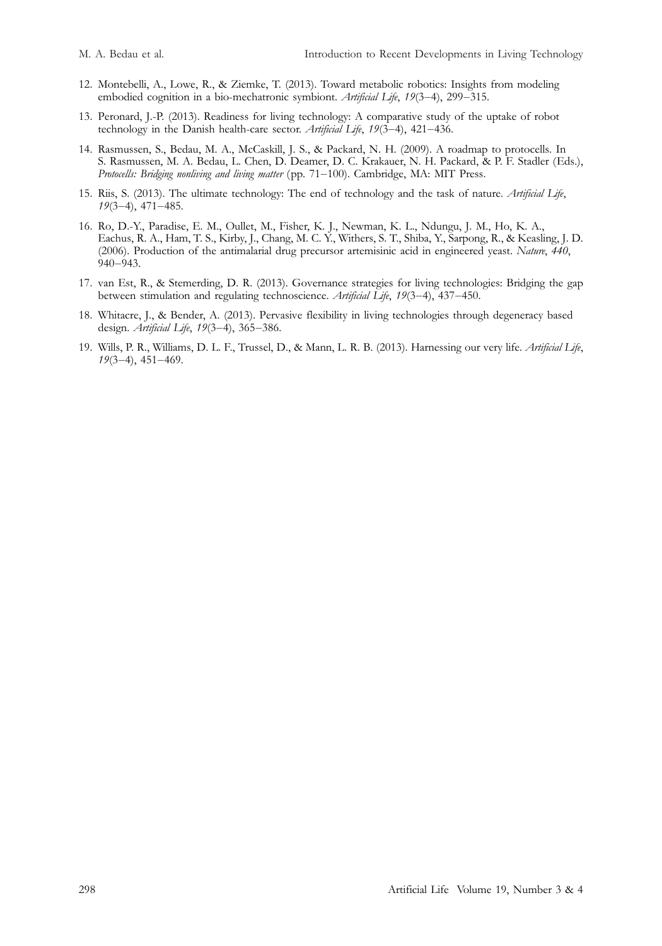- 12. Montebelli, A., Lowe, R., & Ziemke, T. (2013). Toward metabolic robotics: Insights from modeling embodied cognition in a bio-mechatronic symbiont. Artificial Life, 19(3-4), 299-315.
- 13. Peronard, J.-P. (2013). Readiness for living technology: A comparative study of the uptake of robot technology in the Danish health-care sector. Artificial Life, 19(3-4), 421-436.
- 14. Rasmussen, S., Bedau, M. A., McCaskill, J. S., & Packard, N. H. (2009). A roadmap to protocells. In S. Rasmussen, M. A. Bedau, L. Chen, D. Deamer, D. C. Krakauer, N. H. Packard, & P. F. Stadler (Eds.), Protocells: Bridging nonliving and living matter (pp. 71-100). Cambridge, MA: MIT Press.
- 15. Riis, S. (2013). The ultimate technology: The end of technology and the task of nature. Artificial Life, 19(3–4), 471–485.
- 16. Ro, D.-Y., Paradise, E. M., Oullet, M., Fisher, K. J., Newman, K. L., Ndungu, J. M., Ho, K. A., Eachus, R. A., Ham, T. S., Kirby, J., Chang, M. C. Y., Withers, S. T., Shiba, Y., Sarpong, R., & Keasling, J. D. (2006). Production of the antimalarial drug precursor artemisinic acid in engineered yeast. Nature,  $440$ , 940–943.
- 17. van Est, R., & Stemerding, D. R. (2013). Governance strategies for living technologies: Bridging the gap between stimulation and regulating technoscience. Artificial Life, 19(3-4), 437-450.
- 18. Whitacre, J., & Bender, A. (2013). Pervasive flexibility in living technologies through degeneracy based design. Artificial Life, 19(3–4), 365–386.
- 19. Wills, P. R., Williams, D. L. F., Trussel, D., & Mann, L. R. B. (2013). Harnessing our very life. Artificial Life, 19(3–4), 451–469.